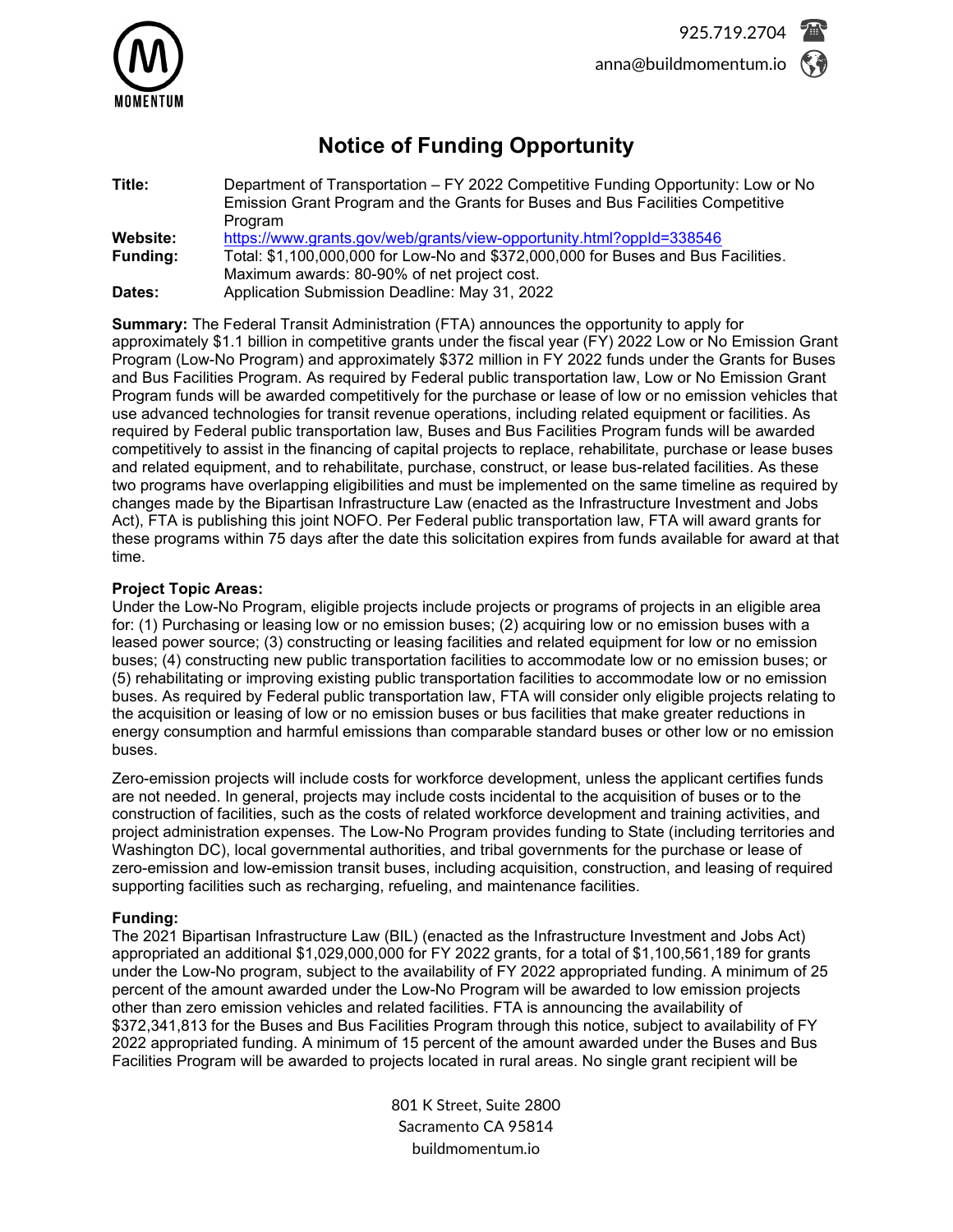

# **Notice of Funding Opportunity**

| Title:          | Department of Transportation - FY 2022 Competitive Funding Opportunity: Low or No<br>Emission Grant Program and the Grants for Buses and Bus Facilities Competitive |
|-----------------|---------------------------------------------------------------------------------------------------------------------------------------------------------------------|
|                 | Program                                                                                                                                                             |
| Website:        | https://www.grants.gov/web/grants/view-opportunity.html?oppId=338546                                                                                                |
| <b>Funding:</b> | Total: \$1,100,000,000 for Low-No and \$372,000,000 for Buses and Bus Facilities.                                                                                   |
|                 | Maximum awards: 80-90% of net project cost.                                                                                                                         |
| Dates:          | Application Submission Deadline: May 31, 2022                                                                                                                       |

**Summary:** The Federal Transit Administration (FTA) announces the opportunity to apply for approximately \$1.1 billion in competitive grants under the fiscal year (FY) 2022 Low or No Emission Grant Program (Low-No Program) and approximately \$372 million in FY 2022 funds under the Grants for Buses and Bus Facilities Program. As required by Federal public transportation law, Low or No Emission Grant Program funds will be awarded competitively for the purchase or lease of low or no emission vehicles that use advanced technologies for transit revenue operations, including related equipment or facilities. As required by Federal public transportation law, Buses and Bus Facilities Program funds will be awarded competitively to assist in the financing of capital projects to replace, rehabilitate, purchase or lease buses and related equipment, and to rehabilitate, purchase, construct, or lease bus-related facilities. As these two programs have overlapping eligibilities and must be implemented on the same timeline as required by changes made by the Bipartisan Infrastructure Law (enacted as the Infrastructure Investment and Jobs Act), FTA is publishing this joint NOFO. Per Federal public transportation law, FTA will award grants for these programs within 75 days after the date this solicitation expires from funds available for award at that time.

## **Project Topic Areas:**

Under the Low-No Program, eligible projects include projects or programs of projects in an eligible area for: (1) Purchasing or leasing low or no emission buses; (2) acquiring low or no emission buses with a leased power source; (3) constructing or leasing facilities and related equipment for low or no emission buses; (4) constructing new public transportation facilities to accommodate low or no emission buses; or (5) rehabilitating or improving existing public transportation facilities to accommodate low or no emission buses. As required by Federal public transportation law, FTA will consider only eligible projects relating to the acquisition or leasing of low or no emission buses or bus facilities that make greater reductions in energy consumption and harmful emissions than comparable standard buses or other low or no emission buses.

Zero-emission projects will include costs for workforce development, unless the applicant certifies funds are not needed. In general, projects may include costs incidental to the acquisition of buses or to the construction of facilities, such as the costs of related workforce development and training activities, and project administration expenses. The Low-No Program provides funding to State (including territories and Washington DC), local governmental authorities, and tribal governments for the purchase or lease of zero-emission and low-emission transit buses, including acquisition, construction, and leasing of required supporting facilities such as recharging, refueling, and maintenance facilities.

# **Funding:**

The 2021 Bipartisan Infrastructure Law (BIL) (enacted as the Infrastructure Investment and Jobs Act) appropriated an additional \$1,029,000,000 for FY 2022 grants, for a total of \$1,100,561,189 for grants under the Low-No program, subject to the availability of FY 2022 appropriated funding. A minimum of 25 percent of the amount awarded under the Low-No Program will be awarded to low emission projects other than zero emission vehicles and related facilities. FTA is announcing the availability of \$372,341,813 for the Buses and Bus Facilities Program through this notice, subject to availability of FY 2022 appropriated funding. A minimum of 15 percent of the amount awarded under the Buses and Bus Facilities Program will be awarded to projects located in rural areas. No single grant recipient will be

> 801 K Street, Suite 2800 Sacramento CA 95814 buildmomentum.io